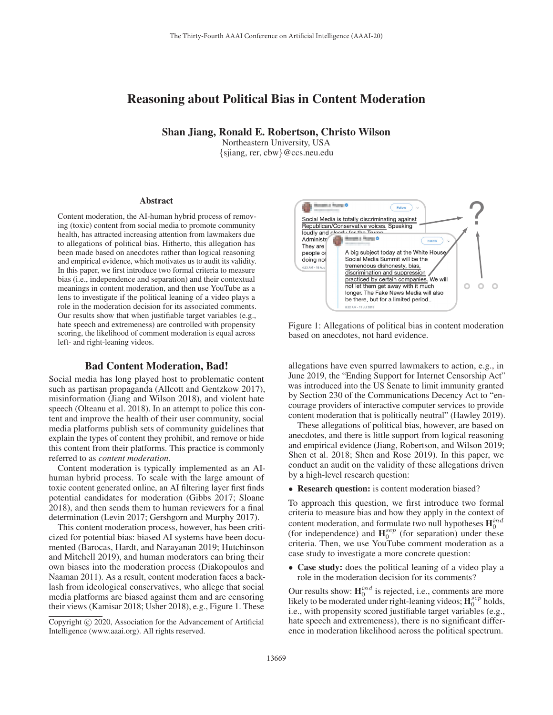# Reasoning about Political Bias in Content Moderation

Shan Jiang, Ronald E. Robertson, Christo Wilson

Northeastern University, USA {sjiang, rer, cbw}@ccs.neu.edu

#### Abstract

Content moderation, the AI-human hybrid process of removing (toxic) content from social media to promote community health, has attracted increasing attention from lawmakers due to allegations of political bias. Hitherto, this allegation has been made based on anecdotes rather than logical reasoning and empirical evidence, which motivates us to audit its validity. In this paper, we first introduce two formal criteria to measure bias (i.e., independence and separation) and their contextual meanings in content moderation, and then use YouTube as a lens to investigate if the political leaning of a video plays a role in the moderation decision for its associated comments. Our results show that when justifiable target variables (e.g., hate speech and extremeness) are controlled with propensity scoring, the likelihood of comment moderation is equal across left- and right-leaning videos.

### Bad Content Moderation, Bad!

Social media has long played host to problematic content such as partisan propaganda (Allcott and Gentzkow 2017), misinformation (Jiang and Wilson 2018), and violent hate speech (Olteanu et al. 2018). In an attempt to police this content and improve the health of their user community, social media platforms publish sets of community guidelines that explain the types of content they prohibit, and remove or hide this content from their platforms. This practice is commonly referred to as *content moderation*.

Content moderation is typically implemented as an AIhuman hybrid process. To scale with the large amount of toxic content generated online, an AI filtering layer first finds potential candidates for moderation (Gibbs 2017; Sloane 2018), and then sends them to human reviewers for a final determination (Levin 2017; Gershgorn and Murphy 2017).

This content moderation process, however, has been criticized for potential bias: biased AI systems have been documented (Barocas, Hardt, and Narayanan 2019; Hutchinson and Mitchell 2019), and human moderators can bring their own biases into the moderation process (Diakopoulos and Naaman 2011). As a result, content moderation faces a backlash from ideological conservatives, who allege that social media platforms are biased against them and are censoring their views (Kamisar 2018; Usher 2018), e.g., Figure 1. These



Figure 1: Allegations of political bias in content moderation based on anecdotes, not hard evidence.

allegations have even spurred lawmakers to action, e.g., in June 2019, the "Ending Support for Internet Censorship Act" was introduced into the US Senate to limit immunity granted by Section 230 of the Communications Decency Act to "encourage providers of interactive computer services to provide content moderation that is politically neutral" (Hawley 2019).

These allegations of political bias, however, are based on anecdotes, and there is little support from logical reasoning and empirical evidence (Jiang, Robertson, and Wilson 2019; Shen et al. 2018; Shen and Rose 2019). In this paper, we conduct an audit on the validity of these allegations driven by a high-level research question:

• Research question: is content moderation biased?

To approach this question, we first introduce two formal criteria to measure bias and how they apply in the context of content moderation, and formulate two null hypotheses  $\mathbf{H}^{ind}_{0}$ (for independence) and  $H_0^{sep}$  (for separation) under these criteria. Then, we use YouTube comment moderation as a case study to investigate a more concrete question:

• Case study: does the political leaning of a video play a role in the moderation decision for its comments?

Our results show:  $\mathbf{H}_{0}^{ind}$  is rejected, i.e., comments are more Likely to be moderated under right-leaning videos;  $\mathbf{H}_0^{sep}$  holds, i.e., with propensity scored justifiable target variables (e.g., hate speech and extremeness), there is no significant difference in moderation likelihood across the political spectrum.

Copyright  $\odot$  2020, Association for the Advancement of Artificial Intelligence (www.aaai.org). All rights reserved.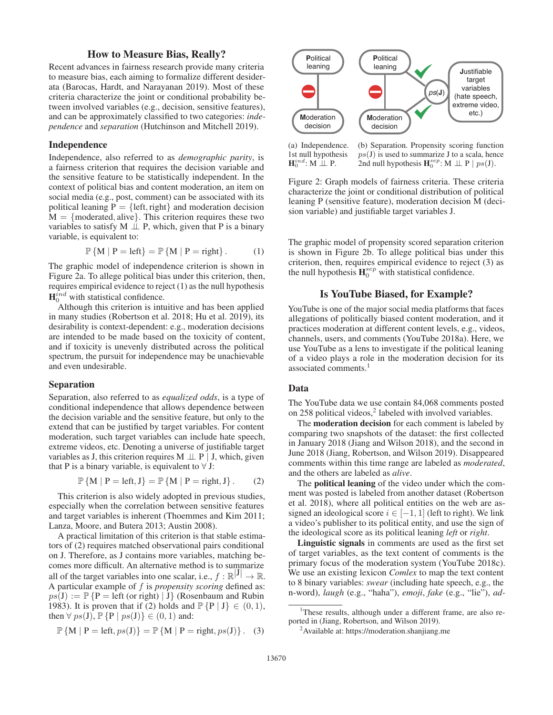# How to Measure Bias, Really?

Recent advances in fairness research provide many criteria to measure bias, each aiming to formalize different desiderata (Barocas, Hardt, and Narayanan 2019). Most of these criteria characterize the joint or conditional probability between involved variables (e.g., decision, sensitive features), and can be approximately classified to two categories: *independence* and *separation* (Hutchinson and Mitchell 2019).

### Independence

Independence, also referred to as *demographic parity*, is a fairness criterion that requires the decision variable and the sensitive feature to be statistically independent. In the context of political bias and content moderation, an item on social media (e.g., post, comment) can be associated with its political leaning  $P = \{left, right\}$  and moderation decision  $M = \{moderated, alive\}$ . This criterion requires these two variables to satisfy  $M \perp P$ , which, given that P is a binary variable, is equivalent to:

$$
\mathbb{P}\left\{M \mid P = \text{left}\right\} = \mathbb{P}\left\{M \mid P = \text{right}\right\}.
$$
 (1)

The graphic model of independence criterion is shown in Figure 2a. To allege political bias under this criterion, then, requires empirical evidence to reject (1) as the null hypothesis  $\mathbf{H}_{0}^{ind}$  with statistical confidence.

Although this criterion is intuitive and has been applied in many studies (Robertson et al. 2018; Hu et al. 2019), its desirability is context-dependent: e.g., moderation decisions are intended to be made based on the toxicity of content, and if toxicity is unevenly distributed across the political spectrum, the pursuit for independence may be unachievable and even undesirable.

#### Separation

Separation, also referred to as *equalized odds*, is a type of conditional independence that allows dependence between the decision variable and the sensitive feature, but only to the extend that can be justified by target variables. For content moderation, such target variables can include hate speech, extreme videos, etc. Denoting a universe of justifiable target variables as J, this criterion requires M  $\perp$  P | J, which, given that P is a binary variable, is equivalent to  $\forall$  J:

$$
\mathbb{P}\left\{\mathbf{M} \mid \mathbf{P} = \text{left}, \mathbf{J}\right\} = \mathbb{P}\left\{\mathbf{M} \mid \mathbf{P} = \text{right}, \mathbf{J}\right\}.
$$
 (2)

This criterion is also widely adopted in previous studies, especially when the correlation between sensitive features and target variables is inherent (Thoemmes and Kim 2011; Lanza, Moore, and Butera 2013; Austin 2008).

A practical limitation of this criterion is that stable estimators of (2) requires matched observational pairs conditional on J. Therefore, as J contains more variables, matching becomes more difficult. An alternative method is to summarize all of the target variables into one scalar, i.e.,  $f : \mathbb{R}^{|J|} \to \mathbb{R}$ . A particular example of f is *propensity scoring* defined as:  $ps(J) := \mathbb{P} \{ P = \text{left} (or \text{ right}) | J \}$  (Rosenbaum and Rubin 1983). It is proven that if (2) holds and  $\mathbb{P} \{P | J\} \in (0, 1)$ , then  $\forall ps(\mathbf{J}), \mathbb{P} \{P \mid ps(\mathbf{J})\} \in (0,1)$  and:

$$
\mathbb{P}\left\{\mathbf{M} \mid \mathbf{P} = \text{left}, ps(\mathbf{J})\right\} = \mathbb{P}\left\{\mathbf{M} \mid \mathbf{P} = \text{right}, ps(\mathbf{J})\right\}. (3)
$$



(a) Independence. 1st null hypothesis  $\mathbf{H}^{ind}_{0}$ : M  $\perp \!\!\! \perp$  P.

(b) Separation. Propensity scoring function  $ps(\text{J})$  is used to summarize J to a scala, hence 2nd null hypothesis  $\mathbf{H}_0^{sep}$ : M  $\perp \!\!\! \perp P \mid ps(\mathbf{J}).$ 

Figure 2: Graph models of fairness criteria. These criteria characterize the joint or conditional distribution of political leaning P (sensitive feature), moderation decision M (decision variable) and justifiable target variables J.

The graphic model of propensity scored separation criterion is shown in Figure 2b. To allege political bias under this criterion, then, requires empirical evidence to reject (3) as the null hypothesis  $\mathbf{H}_0^{sep}$  with statistical confidence.

## Is YouTube Biased, for Example?

YouTube is one of the major social media platforms that faces allegations of politically biased content moderation, and it practices moderation at different content levels, e.g., videos, channels, users, and comments (YouTube 2018a). Here, we use YouTube as a lens to investigate if the political leaning of a video plays a role in the moderation decision for its associated comments.1

### Data

The YouTube data we use contain 84,068 comments posted on  $258$  political videos,<sup>2</sup> labeled with involved variables.

The **moderation decision** for each comment is labeled by comparing two snapshots of the dataset: the first collected in January 2018 (Jiang and Wilson 2018), and the second in June 2018 (Jiang, Robertson, and Wilson 2019). Disappeared comments within this time range are labeled as *moderated*, and the others are labeled as *alive*.

The political leaning of the video under which the comment was posted is labeled from another dataset (Robertson et al. 2018), where all political entities on the web are assigned an ideological score  $i \in [-1, 1]$  (left to right). We link a video's publisher to its political entity, and use the sign of the ideological score as its political leaning *left* or *right*.

Linguistic signals in comments are used as the first set of target variables, as the text content of comments is the primary focus of the moderation system (YouTube 2018c). We use an existing lexicon *Comlex* to map the text content to 8 binary variables: *swear* (including hate speech, e.g., the n-word), *laugh* (e.g., "haha"), *emoji*, *fake* (e.g., "lie"), *ad-*

<sup>&</sup>lt;sup>1</sup>These results, although under a different frame, are also reported in (Jiang, Robertson, and Wilson 2019).

<sup>&</sup>lt;sup>2</sup> Available at: https://moderation.shanjiang.me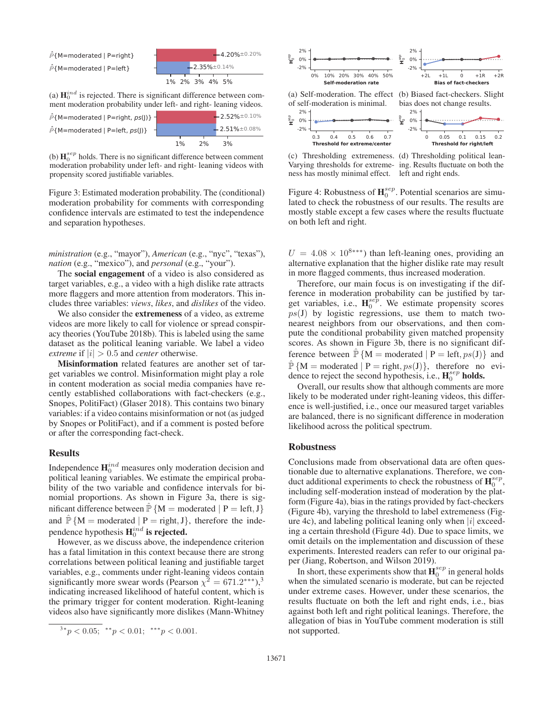

(a)  $\mathbf{H}_{0}^{ind}$  is rejected. There is significant difference between comment moderation probability under left- and right- leaning videos.

 $\hat{P}$ {M=moderated | P=left,  $ps$ (J)}  $\hat{P}$ {M=moderated | P=right,  $ps($ ])}  $251% \pm 0.08%$ 2.52%±0.10%

(b)  $\mathbf{H}_{0}^{sep}$  holds. There is no significant difference between comment moderation probability under left- and right- leaning videos with propensity scored justifiable variables.

 $1\%$   $2\%$   $3\%$ 

Figure 3: Estimated moderation probability. The (conditional) moderation probability for comments with corresponding confidence intervals are estimated to test the independence and separation hypotheses.

*ministration* (e.g., "mayor"), *American* (e.g., "nyc", "texas"), *nation* (e.g., "mexico"), and *personal* (e.g., "your").

The social engagement of a video is also considered as target variables, e.g., a video with a high dislike rate attracts more flaggers and more attention from moderators. This includes three variables: *views*, *likes*, and *dislikes* of the video.

We also consider the **extremeness** of a video, as extreme videos are more likely to call for violence or spread conspiracy theories (YouTube 2018b). This is labeled using the same dataset as the political leaning variable. We label a video *extreme* if  $|i| > 0.5$  and *center* otherwise.

Misinformation related features are another set of target variables we control. Misinformation might play a role in content moderation as social media companies have recently established collaborations with fact-checkers (e.g., Snopes, PolitiFact) (Glaser 2018). This contains two binary variables: if a video contains misinformation or not (as judged by Snopes or PolitiFact), and if a comment is posted before or after the corresponding fact-check.

### **Results**

Independence  $\mathbf{H}_{0}^{ind}$  measures only moderation decision and political leaning variables. We estimate the empirical probability of the two variable and confidence intervals for binomial proportions. As shown in Figure 3a, there is significant difference between  $\hat{P} \{M = \text{moderated} \mid P = \text{left}, J\}$ and  $\hat{\mathbb{P}}\{M = \text{moderated} \mid P = \text{right}, J\}$ , therefore the independence hypothesis  $\mathbf{H}^{ind}_0$  is rejected.

However, as we discuss above, the independence criterion has a fatal limitation in this context because there are strong correlations between political leaning and justifiable target variables, e.g., comments under right-leaning videos contain significantly more swear words (Pearson  $\chi^2 = 671.2$ <sup>\*\*\*</sup>),<sup>3</sup> indicating increased likelihood of hateful content, which is the primary trigger for content moderation. Right-leaning videos also have significantly more dislikes (Mann-Whitney





Figure 4: Robustness of  $\mathbf{H}_0^{sep}$ . Potential scenarios are simulated to check the robustness of our results. The results are mostly stable except a few cases where the results fluctuate on both left and right.

 $U = 4.08 \times 10^{8$ <sup>\*\*\*</sup>) than left-leaning ones, providing an alternative explanation that the higher dislike rate may result in more flagged comments, thus increased moderation.

Therefore, our main focus is on investigating if the difference in moderation probability can be justified by target variables, i.e.,  $H_0^{sep}$ . We estimate propensity scores  $ps(1)$  by logistic regressions, use them to match twonearest neighbors from our observations, and then compute the conditional probability given matched propensity scores. As shown in Figure 3b, there is no significant difference between  $\mathbb{P}\{M = \text{moderated} \mid P = \text{left}, ps(J)\}\$ and  $\mathbb{P}\{M = \text{moderated} \mid P = \text{right}, ps(J)\}, \text{ therefore no evi$ dence to reject the second hypothesis, i.e.,  $H_0^{sep}$  holds.

Overall, our results show that although comments are more likely to be moderated under right-leaning videos, this difference is well-justified, i.e., once our measured target variables are balanced, there is no significant difference in moderation likelihood across the political spectrum.

#### Robustness

Conclusions made from observational data are often questionable due to alternative explanations. Therefore, we conduct additional experiments to check the robustness of  $\mathbf{H}_0^{sep}$ , including self-moderation instead of moderation by the platform (Figure 4a), bias in the ratings provided by fact-checkers (Figure 4b), varying the threshold to label extremeness (Figure 4c), and labeling political leaning only when  $|i|$  exceeding a certain threshold (Figure 4d). Due to space limits, we omit details on the implementation and discussion of these experiments. Interested readers can refer to our original paper (Jiang, Robertson, and Wilson 2019).

In short, these experiments show that  $\mathbf{H}^{sep}_{0}$  in general holds when the simulated scenario is moderate, but can be rejected under extreme cases. However, under these scenarios, the results fluctuate on both the left and right ends, i.e., bias against both left and right political leanings. Therefore, the allegation of bias in YouTube comment moderation is still not supported.

 $3*p < 0.05;$  \*\*p  $< 0.01;$  \*\*\*p  $< 0.001$ .